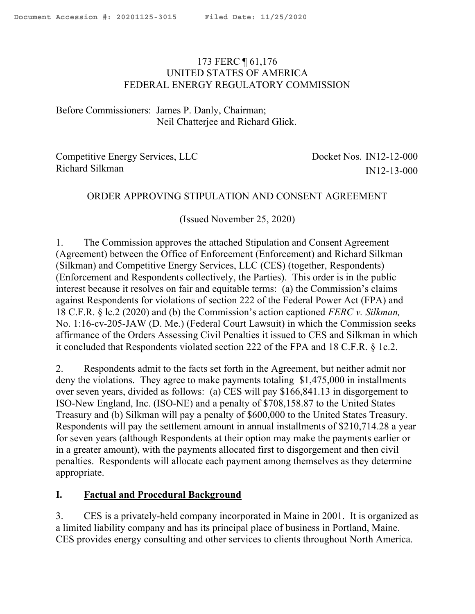# <span id="page-0-0"></span>173 FERC ¶ 61,176 UNITED STATES OF AMERICA FEDERAL ENERGY REGULATORY COMMISSION

Before Commissioners: James P. Danly, Chairman; Neil Chatterjee and Richard Glick.

| Competitive Energy Services, LLC | Docket Nos. IN12-12-000 |
|----------------------------------|-------------------------|
| Richard Silkman                  | $IN12-13-000$           |

#### ORDER APPROVING STIPULATION AND CONSENT AGREEMENT

(Issued November 25, 2020)

1. The Commission approves the attached Stipulation and Consent Agreement (Agreement) between the Office of Enforcement (Enforcement) and Richard Silkman (Silkman) and Competitive Energy Services, LLC (CES) (together, Respondents) (Enforcement and Respondents collectively, the Parties). This order is in the public interest because it resolves on fair and equitable terms: (a) the Commission's claims against Respondents for violations of section 222 of the Federal Power Act (FPA) and 18 C.F.R. § lc.2 (2020) and (b) the Commission's action captioned *FERC v. Silkman,*  No. 1:16-cv-205-JAW (D. Me.) (Federal Court Lawsuit) in which the Commission seeks affirmance of the Orders Assessing Civil Penalties it issued to CES and Silkman in which it concluded that Respondents violated section 222 of the FPA and 18 C.F.R. § 1c.2.

2. Respondents admit to the facts set forth in the Agreement, but neither admit nor deny the violations. They agree to make payments totaling \$1,475,000 in installments over seven years, divided as follows: (a) CES will pay \$166,841.13 in disgorgement to ISO-New England, Inc. (ISO-NE) and a penalty of \$708,158.87 to the United States Treasury and (b) Silkman will pay a penalty of \$600,000 to the United States Treasury. Respondents will pay the settlement amount in annual installments of \$210,714.28 a year for seven years (although Respondents at their option may make the payments earlier or in a greater amount), with the payments allocated first to disgorgement and then civil penalties. Respondents will allocate each payment among themselves as they determine appropriate.

# **I. Factual and Procedural Background**

3. CES is a privately-held company incorporated in Maine in 2001. It is organized as a limited liability company and has its principal place of business in Portland, Maine. CES provides energy consulting and other services to clients throughout North America.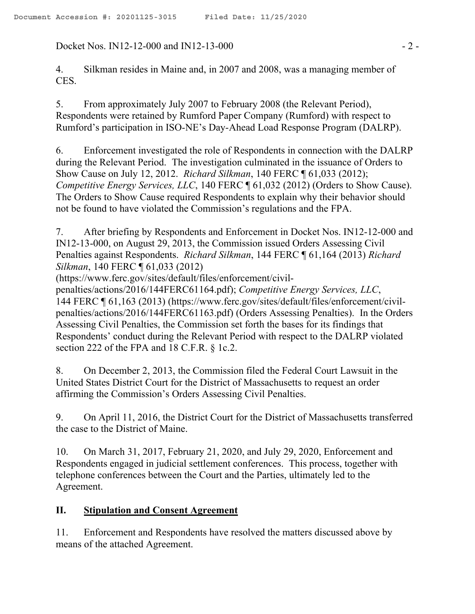Docket Nos. IN12-12-000 and IN12-13-000  $-2$  -

4. Silkman resides in Maine and, in 2007 and 2008, was a managing member of CES.

5. From approximately July 2007 to February 2008 (the Relevant Period), Respondents were retained by Rumford Paper Company (Rumford) with respect to Rumford's participation in ISO-NE's Day-Ahead Load Response Program (DALRP).

6. Enforcement investigated the role of Respondents in connection with the DALRP during the Relevant Period. The investigation culminated in the issuance of Orders to Show Cause on July 12, 2012. *Richard Silkman*, 140 FERC ¶ 61,033 (2012); *Competitive Energy Services, LLC, 140 FERC* ¶ 61,032 (2012) (Orders to Show Cause). The Orders to Show Cause required Respondents to explain why their behavior should not be found to have violated the Commission's regulations and the FPA.

7. After briefing by Respondents and Enforcement in Docket Nos. IN12-12-000 and IN12-13-000, on August 29, 2013, the Commission issued Orders Assessing Civil Penalties against Respondents. *Richard Silkman*, 144 FERC ¶ 61,164 (2013) *Richard Silkman*, 140 FERC ¶ 61,033 (2012)

(https://www.ferc.gov/sites/default/files/enforcement/civil-

penalties/actions/2016/144FERC61164.pdf); *Competitive Energy Services, LLC*, 144 FERC ¶ 61,163 (2013) (https://www.ferc.gov/sites/default/files/enforcement/civilpenalties/actions/2016/144FERC61163.pdf) (Orders Assessing Penalties). In the Orders Assessing Civil Penalties, the Commission set forth the bases for its findings that Respondents' conduct during the Relevant Period with respect to the DALRP violated section 222 of the FPA and 18 C.F.R. § 1c.2.

8. On December 2, 2013, the Commission filed the Federal Court Lawsuit in the United States District Court for the District of Massachusetts to request an order affirming the Commission's Orders Assessing Civil Penalties.

9. On April 11, 2016, the District Court for the District of Massachusetts transferred the case to the District of Maine.

10. On March 31, 2017, February 21, 2020, and July 29, 2020, Enforcement and Respondents engaged in judicial settlement conferences. This process, together with telephone conferences between the Court and the Parties, ultimately led to the Agreement.

# **II. Stipulation and Consent Agreement**

11. Enforcement and Respondents have resolved the matters discussed above by means of the attached Agreement.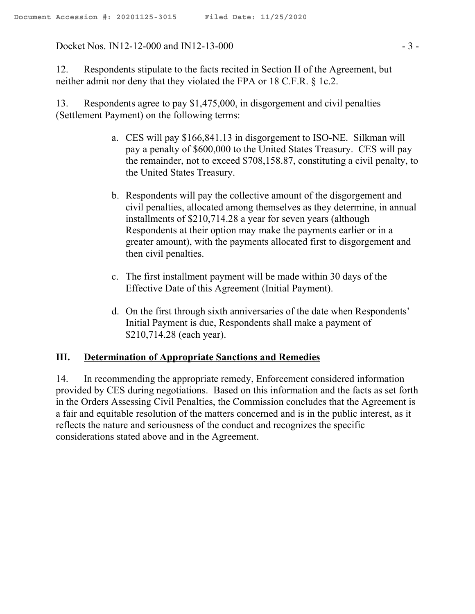#### Docket Nos. IN12-12-000 and IN12-13-000 - 2 - 3 -

12. Respondents stipulate to the facts recited in Section II of the Agreement, but neither admit nor deny that they violated the FPA or 18 C.F.R. § 1c.2.

13. Respondents agree to pay \$1,475,000, in disgorgement and civil penalties (Settlement Payment) on the following terms:

- a. CES will pay \$166,841.13 in disgorgement to ISO-NE. Silkman will pay a penalty of \$600,000 to the United States Treasury. CES will pay the remainder, not to exceed \$708,158.87, constituting a civil penalty, to the United States Treasury.
- b. Respondents will pay the collective amount of the disgorgement and civil penalties, allocated among themselves as they determine, in annual installments of \$210,714.28 a year for seven years (although Respondents at their option may make the payments earlier or in a greater amount), with the payments allocated first to disgorgement and then civil penalties.
- c. The first installment payment will be made within 30 days of the Effective Date of this Agreement (Initial Payment).
- d. On the first through sixth anniversaries of the date when Respondents' Initial Payment is due, Respondents shall make a payment of \$210,714.28 (each year).

#### **III. Determination of Appropriate Sanctions and Remedies**

14. In recommending the appropriate remedy, Enforcement considered information provided by CES during negotiations. Based on this information and the facts as set forth in the Orders Assessing Civil Penalties, the Commission concludes that the Agreement is a fair and equitable resolution of the matters concerned and is in the public interest, as it reflects the nature and seriousness of the conduct and recognizes the specific considerations stated above and in the Agreement.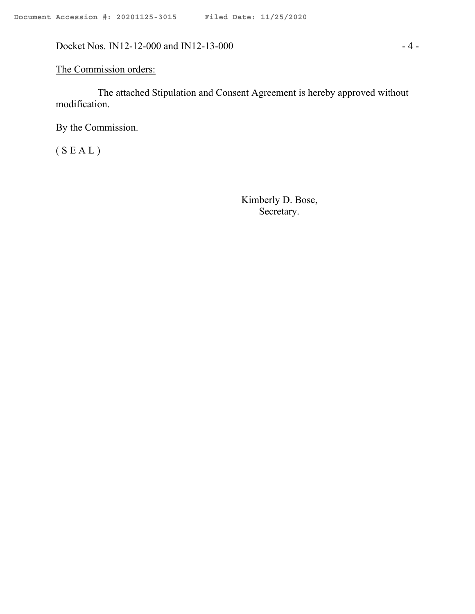# The Commission orders:

The attached Stipulation and Consent Agreement is hereby approved without modification.

By the Commission.

 $(S E A L)$ 

Kimberly D. Bose, Secretary.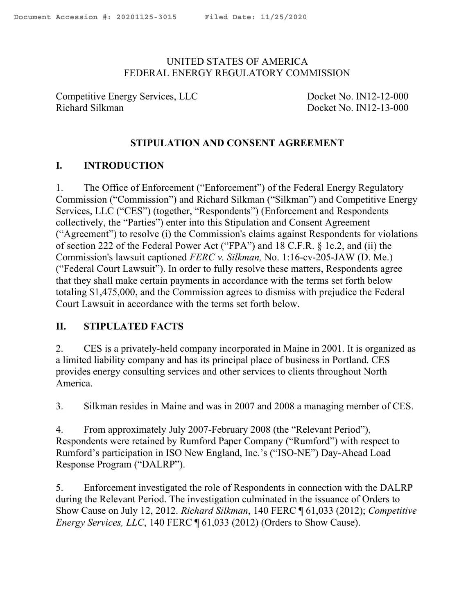#### UNITED STATES OF AMERICA FEDERAL ENERGY REGULATORY COMMISSION

Competitive Energy Services, LLC Docket No. IN12-12-000 Richard Silkman Docket No. IN12-13-000

# **STIPULATION AND CONSENT AGREEMENT**

# **I. INTRODUCTION**

1. The Office of Enforcement ("Enforcement") of the Federal Energy Regulatory Commission ("Commission") and Richard Silkman ("Silkman") and Competitive Energy Services, LLC ("CES") (together, "Respondents") (Enforcement and Respondents collectively, the "Parties") enter into this Stipulation and Consent Agreement ("Agreement") to resolve (i) the Commission's claims against Respondents for violations of section 222 of the Federal Power Act ("FPA") and 18 C.F.R. § 1c.2, and (ii) the Commission's lawsuit captioned *FERC v. Silkman,* No. 1:16-cv-205-JAW (D. Me.) ("Federal Court Lawsuit"). In order to fully resolve these matters, Respondents agree that they shall make certain payments in accordance with the terms set forth below totaling \$1,475,000, and the Commission agrees to dismiss with prejudice the Federal Court Lawsuit in accordance with the terms set forth below.

# **II. STIPULATED FACTS**

2. CES is a privately-held company incorporated in Maine in 2001. It is organized as a limited liability company and has its principal place of business in Portland. CES provides energy consulting services and other services to clients throughout North America.

3. Silkman resides in Maine and was in 2007 and 2008 a managing member of CES.

4. From approximately July 2007-February 2008 (the "Relevant Period"), Respondents were retained by Rumford Paper Company ("Rumford") with respect to Rumford's participation in ISO New England, Inc.'s ("ISO-NE") Day-Ahead Load Response Program ("DALRP").

5. Enforcement investigated the role of Respondents in connection with the DALRP during the Relevant Period. The investigation culminated in the issuance of Orders to Show Cause on July 12, 2012. *Richard Silkman*, 140 FERC ¶ 61,033 (2012); *Competitive Energy Services, LLC*, 140 FERC ¶ 61,033 (2012) (Orders to Show Cause).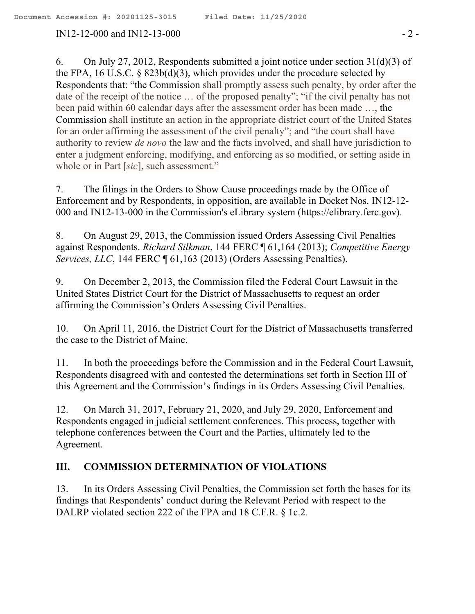$IN12-12-000$  and  $IN12-13-000$  - 2 -

6. On July 27, 2012, Respondents submitted a joint notice under section 31(d)(3) of the FPA, 16 U.S.C. § 823b(d)(3), which provides under the procedure selected by Respondents that: "the Commission shall promptly assess such penalty, by order after the date of the receipt of the notice … of the proposed penalty"; "if the civil penalty has not been paid within 60 calendar days after the assessment order has been made …, the Commission shall institute an action in the appropriate district court of the United States for an order affirming the assessment of the civil penalty"; and "the court shall have authority to review *de novo* the law and the facts involved, and shall have jurisdiction to enter a judgment enforcing, modifying, and enforcing as so modified, or setting aside in whole or in Part [*sic*], such assessment."

7. The filings in the Orders to Show Cause proceedings made by the Office of Enforcement and by Respondents, in opposition, are available in Docket Nos. IN12-12- 000 and IN12-13-000 in the Commission's eLibrary system (https://elibrary.ferc.gov).

8. On August 29, 2013, the Commission issued Orders Assessing Civil Penalties against Respondents. *Richard Silkman*, 144 FERC ¶ 61,164 (2013); *Competitive Energy Services, LLC*, 144 FERC ¶ 61,163 (2013) (Orders Assessing Penalties).

9. On December 2, 2013, the Commission filed the Federal Court Lawsuit in the United States District Court for the District of Massachusetts to request an order affirming the Commission's Orders Assessing Civil Penalties.

10. On April 11, 2016, the District Court for the District of Massachusetts transferred the case to the District of Maine.

11. In both the proceedings before the Commission and in the Federal Court Lawsuit, Respondents disagreed with and contested the determinations set forth in Section III of this Agreement and the Commission's findings in its Orders Assessing Civil Penalties.

12. On March 31, 2017, February 21, 2020, and July 29, 2020, Enforcement and Respondents engaged in judicial settlement conferences. This process, together with telephone conferences between the Court and the Parties, ultimately led to the Agreement.

# **III. COMMISSION DETERMINATION OF VIOLATIONS**

13. In its Orders Assessing Civil Penalties, the Commission set forth the bases for its findings that Respondents' conduct during the Relevant Period with respect to the DALRP violated section 222 of the FPA and 18 C.F.R. § 1c.2*.*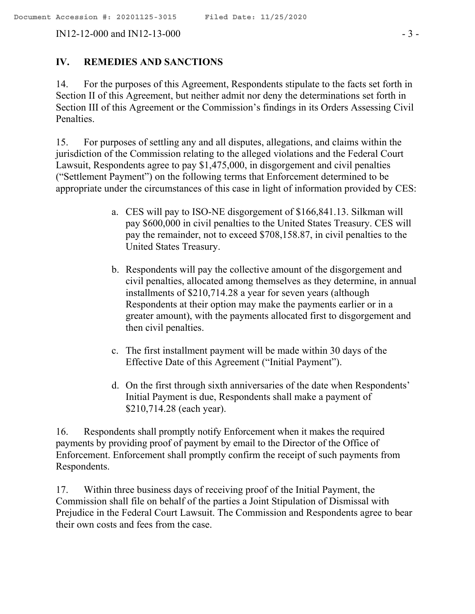$IN12-12-000$  and  $IN12-13-000$  - 3 -

### **IV. REMEDIES AND SANCTIONS**

14. For the purposes of this Agreement, Respondents stipulate to the facts set forth in Section II of this Agreement, but neither admit nor deny the determinations set forth in Section III of this Agreement or the Commission's findings in its Orders Assessing Civil Penalties.

15. For purposes of settling any and all disputes, allegations, and claims within the jurisdiction of the Commission relating to the alleged violations and the Federal Court Lawsuit, Respondents agree to pay \$1,475,000, in disgorgement and civil penalties ("Settlement Payment") on the following terms that Enforcement determined to be appropriate under the circumstances of this case in light of information provided by CES:

- a. CES will pay to ISO-NE disgorgement of \$166,841.13. Silkman will pay \$600,000 in civil penalties to the United States Treasury. CES will pay the remainder, not to exceed \$708,158.87, in civil penalties to the United States Treasury.
- b. Respondents will pay the collective amount of the disgorgement and civil penalties, allocated among themselves as they determine, in annual installments of \$210,714.28 a year for seven years (although Respondents at their option may make the payments earlier or in a greater amount), with the payments allocated first to disgorgement and then civil penalties.
- c. The first installment payment will be made within 30 days of the Effective Date of this Agreement ("Initial Payment").
- d. On the first through sixth anniversaries of the date when Respondents' Initial Payment is due, Respondents shall make a payment of \$210,714.28 (each year).

16. Respondents shall promptly notify Enforcement when it makes the required payments by providing proof of payment by email to the Director of the Office of Enforcement. Enforcement shall promptly confirm the receipt of such payments from Respondents.

17. Within three business days of receiving proof of the Initial Payment, the Commission shall file on behalf of the parties a Joint Stipulation of Dismissal with Prejudice in the Federal Court Lawsuit. The Commission and Respondents agree to bear their own costs and fees from the case.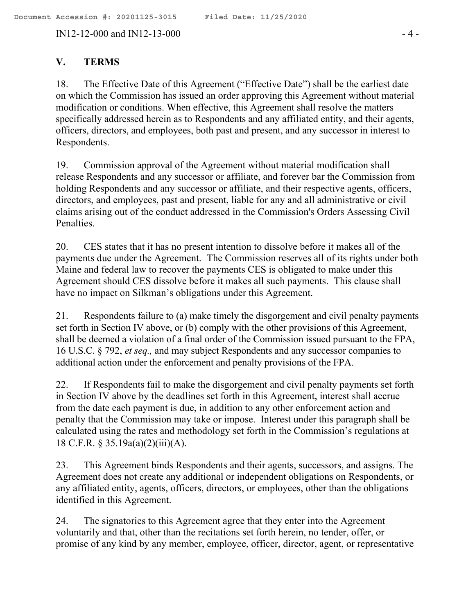$IN12-12-000$  and  $IN12-13-000$ 

# **V. TERMS**

18. The Effective Date of this Agreement ("Effective Date") shall be the earliest date on which the Commission has issued an order approving this Agreement without material modification or conditions. When effective, this Agreement shall resolve the matters specifically addressed herein as to Respondents and any affiliated entity, and their agents, officers, directors, and employees, both past and present, and any successor in interest to Respondents.

19. Commission approval of the Agreement without material modification shall release Respondents and any successor or affiliate, and forever bar the Commission from holding Respondents and any successor or affiliate, and their respective agents, officers, directors, and employees, past and present, liable for any and all administrative or civil claims arising out of the conduct addressed in the Commission's Orders Assessing Civil Penalties.

20. CES states that it has no present intention to dissolve before it makes all of the payments due under the Agreement. The Commission reserves all of its rights under both Maine and federal law to recover the payments CES is obligated to make under this Agreement should CES dissolve before it makes all such payments. This clause shall have no impact on Silkman's obligations under this Agreement.

21. Respondents failure to (a) make timely the disgorgement and civil penalty payments set forth in Section IV above, or (b) comply with the other provisions of this Agreement, shall be deemed a violation of a final order of the Commission issued pursuant to the FPA, 16 U.S.C. § 792, *et seq.,* and may subject Respondents and any successor companies to additional action under the enforcement and penalty provisions of the FPA.

22. If Respondents fail to make the disgorgement and civil penalty payments set forth in Section IV above by the deadlines set forth in this Agreement, interest shall accrue from the date each payment is due, in addition to any other enforcement action and penalty that the Commission may take or impose. Interest under this paragraph shall be calculated using the rates and methodology set forth in the Commission's regulations at 18 C.F.R. § 35.19a(a)(2)(iii)(A).

23. This Agreement binds Respondents and their agents, successors, and assigns. The Agreement does not create any additional or independent obligations on Respondents, or any affiliated entity, agents, officers, directors, or employees, other than the obligations identified in this Agreement.

24. The signatories to this Agreement agree that they enter into the Agreement voluntarily and that, other than the recitations set forth herein, no tender, offer, or promise of any kind by any member, employee, officer, director, agent, or representative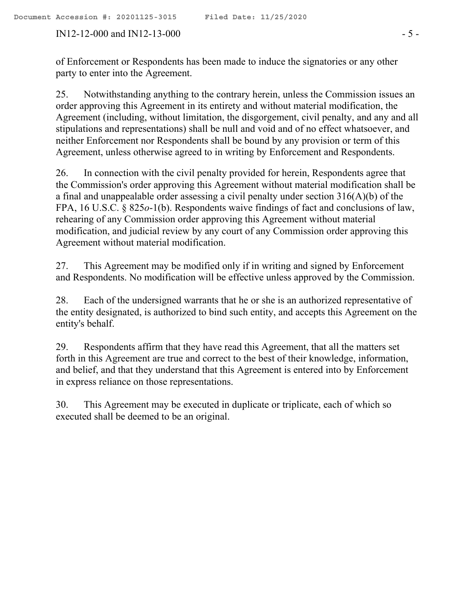#### $IN12-12-000$  and  $IN12-13-000$  - 5 -

of Enforcement or Respondents has been made to induce the signatories or any other party to enter into the Agreement.

25. Notwithstanding anything to the contrary herein, unless the Commission issues an order approving this Agreement in its entirety and without material modification, the Agreement (including, without limitation, the disgorgement, civil penalty, and any and all stipulations and representations) shall be null and void and of no effect whatsoever, and neither Enforcement nor Respondents shall be bound by any provision or term of this Agreement, unless otherwise agreed to in writing by Enforcement and Respondents.

26. In connection with the civil penalty provided for herein, Respondents agree that the Commission's order approving this Agreement without material modification shall be a final and unappealable order assessing a civil penalty under section 316(A)(b) of the FPA, 16 U.S.C. § 825*o*-1(b). Respondents waive findings of fact and conclusions of law, rehearing of any Commission order approving this Agreement without material modification, and judicial review by any court of any Commission order approving this Agreement without material modification.

27. This Agreement may be modified only if in writing and signed by Enforcement and Respondents. No modification will be effective unless approved by the Commission.

28. Each of the undersigned warrants that he or she is an authorized representative of the entity designated, is authorized to bind such entity, and accepts this Agreement on the entity's behalf.

29. Respondents affirm that they have read this Agreement, that all the matters set forth in this Agreement are true and correct to the best of their knowledge, information, and belief, and that they understand that this Agreement is entered into by Enforcement in express reliance on those representations.

30. This Agreement may be executed in duplicate or triplicate, each of which so executed shall be deemed to be an original.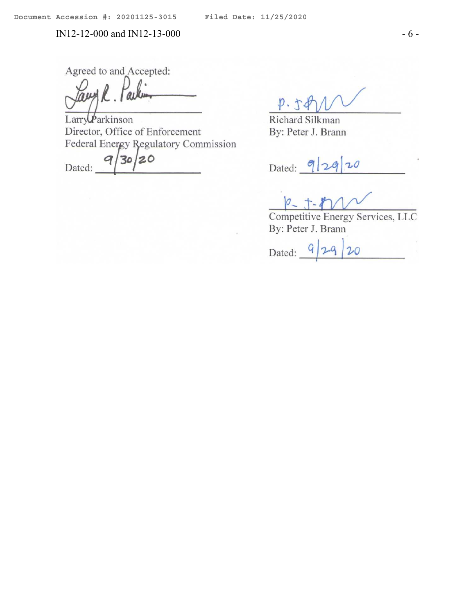$IN12-12-000$  and  $IN12-13-000$  - 6 -

Agreed to and Accepted:

Larry Parkinson Director, Office of Enforcement Federal Energy Regulatory Commission

 $30/20$ q Dated:

 $p.54$ 

Richard Silkman By: Peter J. Brann

Dated:  $20$ 

Competitive Energy Services, LLC By: Peter J. Brann

Dated: q 20